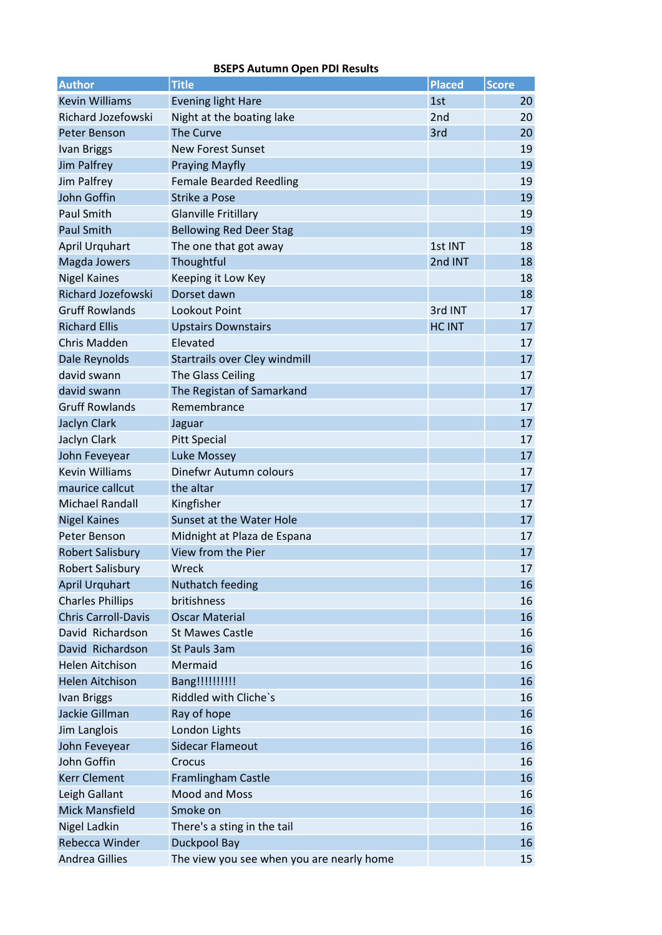| <b>Author</b>              | <b>Title</b>                              | <b>Placed</b> | <b>Score</b> |
|----------------------------|-------------------------------------------|---------------|--------------|
| <b>Kevin Williams</b>      | <b>Evening light Hare</b>                 | 1st           | 20           |
| <b>Richard Jozefowski</b>  | Night at the boating lake                 | 2nd           | 20           |
| Peter Benson               | <b>The Curve</b>                          | 3rd           | 20           |
| <b>Ivan Briggs</b>         | <b>New Forest Sunset</b>                  |               | 19           |
| <b>Jim Palfrey</b>         | <b>Praying Mayfly</b>                     |               | 19           |
| Jim Palfrey                | <b>Female Bearded Reedling</b>            |               | 19           |
| John Goffin                | <b>Strike a Pose</b>                      |               | 19           |
| <b>Paul Smith</b>          | <b>Glanville Fritillary</b>               |               | 19           |
| <b>Paul Smith</b>          | <b>Bellowing Red Deer Stag</b>            |               | 19           |
| April Urquhart             | The one that got away                     | 1st INT       | 18           |
| Magda Jowers               | Thoughtful                                | 2nd INT       | 18           |
| <b>Nigel Kaines</b>        | Keeping it Low Key                        |               | 18           |
| Richard Jozefowski         | Dorset dawn                               |               | 18           |
| <b>Gruff Rowlands</b>      | Lookout Point                             | 3rd INT       | 17           |
| <b>Richard Ellis</b>       | <b>Upstairs Downstairs</b>                | <b>HC INT</b> | 17           |
| <b>Chris Madden</b>        | Elevated                                  |               | 17           |
| Dale Reynolds              | Startrails over Cley windmill             |               | 17           |
| david swann                | The Glass Ceiling                         |               | 17           |
| david swann                | The Registan of Samarkand                 |               | 17           |
| <b>Gruff Rowlands</b>      | Remembrance                               |               | 17           |
| Jaclyn Clark               | Jaguar                                    |               | 17           |
| Jaclyn Clark               | <b>Pitt Special</b>                       |               | 17           |
| John Feveyear              | <b>Luke Mossey</b>                        |               | 17           |
| <b>Kevin Williams</b>      | Dinefwr Autumn colours                    |               | 17           |
| maurice callcut            | the altar                                 |               | 17           |
| <b>Michael Randall</b>     | Kingfisher                                |               | 17           |
| <b>Nigel Kaines</b>        | Sunset at the Water Hole                  |               | 17           |
| Peter Benson               | Midnight at Plaza de Espana               |               | 17           |
| <b>Robert Salisbury</b>    | View from the Pier                        |               | 17           |
| <b>Robert Salisbury</b>    | Wreck                                     |               | 17           |
| <b>April Urquhart</b>      | Nuthatch feeding                          |               | 16           |
| <b>Charles Phillips</b>    | britishness                               |               | 16           |
| <b>Chris Carroll-Davis</b> | <b>Oscar Material</b>                     |               | 16           |
| David Richardson           | <b>St Mawes Castle</b>                    |               | 16           |
| David Richardson           | St Pauls 3am                              |               | 16           |
| <b>Helen Aitchison</b>     | Mermaid                                   |               | 16           |
| <b>Helen Aitchison</b>     | Bang!!!!!!!!!!                            |               | 16           |
| <b>Ivan Briggs</b>         | Riddled with Cliche's                     |               | 16           |
| Jackie Gillman             | Ray of hope                               |               | 16           |
| Jim Langlois               | London Lights                             |               | 16           |
| John Feveyear              | Sidecar Flameout                          |               | 16           |
| John Goffin                | Crocus                                    |               | 16           |
| <b>Kerr Clement</b>        | Framlingham Castle                        |               | 16           |
| Leigh Gallant              | Mood and Moss                             |               | 16           |
| <b>Mick Mansfield</b>      | Smoke on                                  |               | 16           |
| <b>Nigel Ladkin</b>        | There's a sting in the tail               |               | 16           |
| Rebecca Winder             | <b>Duckpool Bay</b>                       |               | 16           |
| <b>Andrea Gillies</b>      | The view you see when you are nearly home |               | 15           |